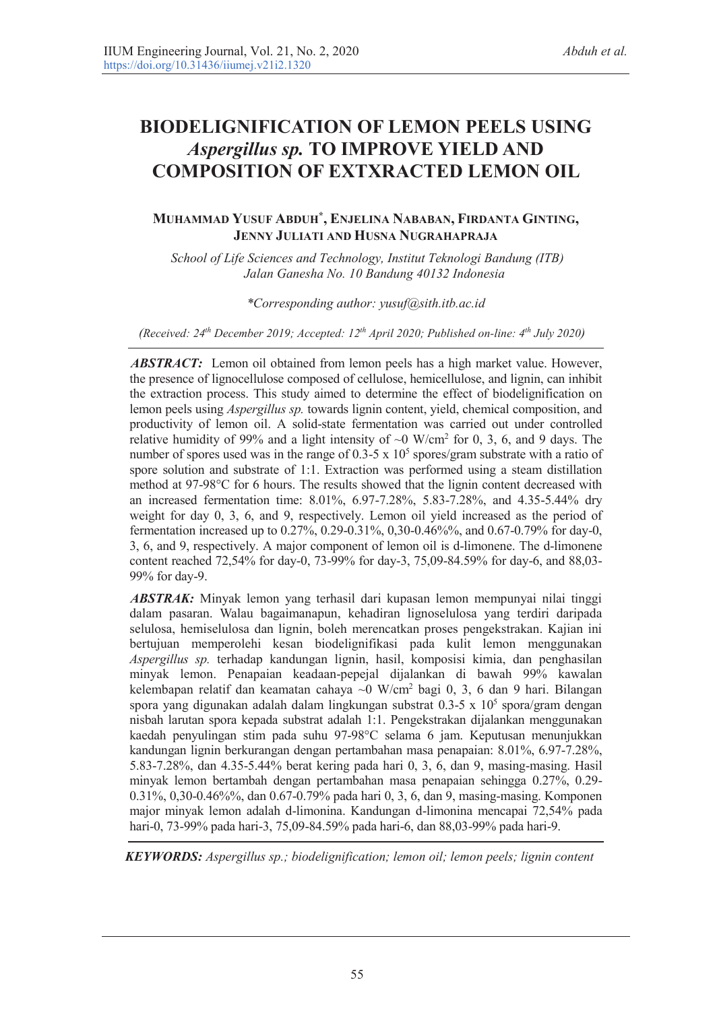# **BIODELIGNIFICATION OF LEMON PEELS USING**  *Aspergillus sp.* **TO IMPROVE YIELD AND COMPOSITION OF EXTXRACTED LEMON OIL**

## **MUHAMMAD YUSUF ABDUH\*, ENJELINA NABABAN, FIRDANTA GINTING, JENNY JULIATI AND HUSNA NUGRAHAPRAJA**

 *School of Life Sciences and Technology, Institut Teknologi Bandung (ITB) Jalan Ganesha No. 10 Bandung 40132 Indonesia* 

### *\*Corresponding author: yusuf@sith.itb.ac.id*

*(Received: 24th December 2019; Accepted: 12th April 2020; Published on-line: th July 2020)*

*ABSTRACT:* Lemon oil obtained from lemon peels has a high market value. However, the presence of lignocellulose composed of cellulose, hemicellulose, and lignin, can inhibit the extraction process. This study aimed to determine the effect of biodelignification on lemon peels using *Aspergillus sp.* towards lignin content, yield, chemical composition, and productivity of lemon oil. A solid-state fermentation was carried out under controlled relative humidity of 99% and a light intensity of  $\sim$ 0 W/cm<sup>2</sup> for 0, 3, 6, and 9 days. The number of spores used was in the range of  $0.3\n-5 \times 10^5$  spores/gram substrate with a ratio of spore solution and substrate of 1:1. Extraction was performed using a steam distillation method at 97-98°C for 6 hours. The results showed that the lignin content decreased with an increased fermentation time: 8.01%, 6.97-7.28%, 5.83-7.28%, and 4.35-5.44% dry weight for day 0, 3, 6, and 9, respectively. Lemon oil yield increased as the period of fermentation increased up to 0.27%, 0.29-0.31%, 0,30-0.46%%, and 0.67-0.79% for day-0, 3, 6, and 9, respectively. A major component of lemon oil is d-limonene. The d-limonene content reached 72,54% for day-0, 73-99% for day-3, 75,09-84.59% for day-6, and 88,03- 99% for day-9.

*ABSTRAK:* Minyak lemon yang terhasil dari kupasan lemon mempunyai nilai tinggi dalam pasaran. Walau bagaimanapun, kehadiran lignoselulosa yang terdiri daripada selulosa, hemiselulosa dan lignin, boleh merencatkan proses pengekstrakan. Kajian ini bertujuan memperolehi kesan biodelignifikasi pada kulit lemon menggunakan *Aspergillus sp.* terhadap kandungan lignin, hasil, komposisi kimia, dan penghasilan minyak lemon. Penapaian keadaan-pepejal dijalankan di bawah 99% kawalan kelembapan relatif dan keamatan cahaya ~0 W/cm<sup>2</sup> bagi 0, 3, 6 dan 9 hari. Bilangan spora yang digunakan adalah dalam lingkungan substrat 0.3-5 x  $10<sup>5</sup>$  spora/gram dengan nisbah larutan spora kepada substrat adalah 1:1. Pengekstrakan dijalankan menggunakan kaedah penyulingan stim pada suhu 97-98°C selama 6 jam. Keputusan menunjukkan kandungan lignin berkurangan dengan pertambahan masa penapaian: 8.01%, 6.97-7.28%, 5.83-7.28%, dan 4.35-5.44% berat kering pada hari 0, 3, 6, dan 9, masing-masing. Hasil minyak lemon bertambah dengan pertambahan masa penapaian sehingga 0.27%, 0.29- 0.31%, 0,30-0.46%%, dan 0.67-0.79% pada hari 0, 3, 6, dan 9, masing-masing. Komponen major minyak lemon adalah d-limonina. Kandungan d-limonina mencapai 72,54% pada hari-0, 73-99% pada hari-3, 75,09-84.59% pada hari-6, dan 88,03-99% pada hari-9.

*KEYWORDS: Aspergillus sp.; biodelignification; lemon oil; lemon peels; lignin content*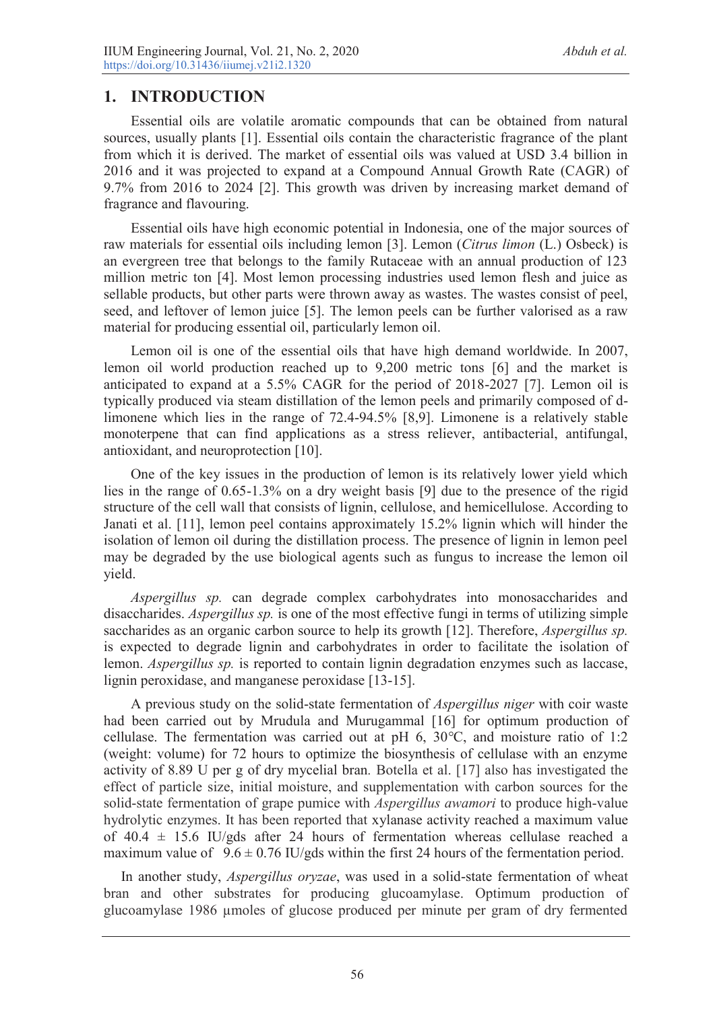# **1. INTRODUCTION**

Essential oils are volatile aromatic compounds that can be obtained from natural sources, usually plants [1]. Essential oils contain the characteristic fragrance of the plant from which it is derived. The market of essential oils was valued at USD 3.4 billion in 2016 and it was projected to expand at a Compound Annual Growth Rate (CAGR) of 9.7% from 2016 to 2024 [2]. This growth was driven by increasing market demand of fragrance and flavouring.

Essential oils have high economic potential in Indonesia, one of the major sources of raw materials for essential oils including lemon [3]. Lemon (*Citrus limon* (L.) Osbeck) is an evergreen tree that belongs to the family Rutaceae with an annual production of 123 million metric ton [4]. Most lemon processing industries used lemon flesh and juice as sellable products, but other parts were thrown away as wastes. The wastes consist of peel, seed, and leftover of lemon juice [5]. The lemon peels can be further valorised as a raw material for producing essential oil, particularly lemon oil.

Lemon oil is one of the essential oils that have high demand worldwide. In 2007, lemon oil world production reached up to 9,200 metric tons [6] and the market is anticipated to expand at a 5.5% CAGR for the period of 2018-2027 [7]. Lemon oil is typically produced via steam distillation of the lemon peels and primarily composed of dlimonene which lies in the range of 72.4-94.5% [8,9]. Limonene is a relatively stable monoterpene that can find applications as a stress reliever, antibacterial, antifungal, antioxidant, and neuroprotection [10].

One of the key issues in the production of lemon is its relatively lower yield which lies in the range of 0.65-1.3% on a dry weight basis [9] due to the presence of the rigid structure of the cell wall that consists of lignin, cellulose, and hemicellulose. According to Janati et al. [11], lemon peel contains approximately 15.2% lignin which will hinder the isolation of lemon oil during the distillation process. The presence of lignin in lemon peel may be degraded by the use biological agents such as fungus to increase the lemon oil yield.

*Aspergillus sp.* can degrade complex carbohydrates into monosaccharides and disaccharides. *Aspergillus sp.* is one of the most effective fungi in terms of utilizing simple saccharides as an organic carbon source to help its growth [12]. Therefore, *Aspergillus sp.*  is expected to degrade lignin and carbohydrates in order to facilitate the isolation of lemon. *Aspergillus sp.* is reported to contain lignin degradation enzymes such as laccase, lignin peroxidase, and manganese peroxidase [13-15].

A previous study on the solid-state fermentation of *Aspergillus niger* with coir waste had been carried out by Mrudula and Murugammal [16] for optimum production of cellulase. The fermentation was carried out at pH 6, 30*°*C, and moisture ratio of 1:2 (weight: volume) for 72 hours to optimize the biosynthesis of cellulase with an enzyme activity of 8.89 U per g of dry mycelial bran*.* Botella et al. [17] also has investigated the effect of particle size, initial moisture, and supplementation with carbon sources for the solid-state fermentation of grape pumice with *Aspergillus awamori* to produce high-value hydrolytic enzymes. It has been reported that xylanase activity reached a maximum value of  $40.4 \pm 15.6$  IU/gds after 24 hours of fermentation whereas cellulase reached a maximum value of  $9.6 \pm 0.76$  IU/gds within the first 24 hours of the fermentation period.

In another study, *Aspergillus oryzae*, was used in a solid-state fermentation of wheat bran and other substrates for producing glucoamylase. Optimum production of glucoamylase 1986 μmoles of glucose produced per minute per gram of dry fermented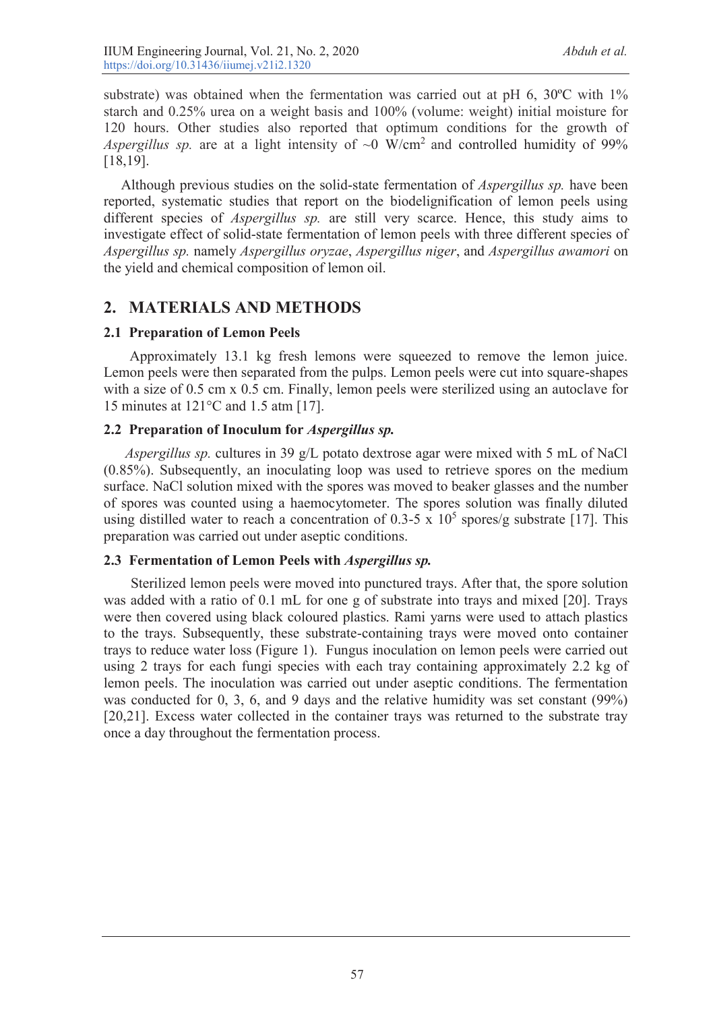substrate) was obtained when the fermentation was carried out at pH 6, 30ºC with 1% starch and 0.25% urea on a weight basis and 100% (volume: weight) initial moisture for 120 hours. Other studies also reported that optimum conditions for the growth of *Aspergillus sp.* are at a light intensity of  $\sim 0$  W/cm<sup>2</sup> and controlled humidity of 99% [18,19].

Although previous studies on the solid-state fermentation of *Aspergillus sp.* have been reported, systematic studies that report on the biodelignification of lemon peels using different species of *Aspergillus sp.* are still very scarce. Hence, this study aims to investigate effect of solid-state fermentation of lemon peels with three different species of *Aspergillus sp.* namely *Aspergillus oryzae*, *Aspergillus niger*, and *Aspergillus awamori* on the yield and chemical composition of lemon oil.

# **2. MATERIALS AND METHODS**

## **2.1 Preparation of Lemon Peels**

Approximately 13.1 kg fresh lemons were squeezed to remove the lemon juice. Lemon peels were then separated from the pulps. Lemon peels were cut into square-shapes with a size of 0.5 cm x 0.5 cm. Finally, lemon peels were sterilized using an autoclave for 15 minutes at 121°C and 1.5 atm [17].

## **2.2 Preparation of Inoculum for** *Aspergillus sp.*

 *Aspergillus sp.* cultures in 39 g/L potato dextrose agar were mixed with 5 mL of NaCl (0.85%). Subsequently, an inoculating loop was used to retrieve spores on the medium surface. NaCl solution mixed with the spores was moved to beaker glasses and the number of spores was counted using a haemocytometer. The spores solution was finally diluted using distilled water to reach a concentration of 0.3-5 x  $10^5$  spores/g substrate [17]. This preparation was carried out under aseptic conditions.

## **2.3 Fermentation of Lemon Peels with** *Aspergillus sp.*

Sterilized lemon peels were moved into punctured trays. After that, the spore solution was added with a ratio of 0.1 mL for one g of substrate into trays and mixed [20]. Trays were then covered using black coloured plastics. Rami yarns were used to attach plastics to the trays. Subsequently, these substrate-containing trays were moved onto container trays to reduce water loss (Figure 1). Fungus inoculation on lemon peels were carried out using 2 trays for each fungi species with each tray containing approximately 2.2 kg of lemon peels. The inoculation was carried out under aseptic conditions. The fermentation was conducted for 0, 3, 6, and 9 days and the relative humidity was set constant (99%) [20,21]. Excess water collected in the container trays was returned to the substrate tray once a day throughout the fermentation process.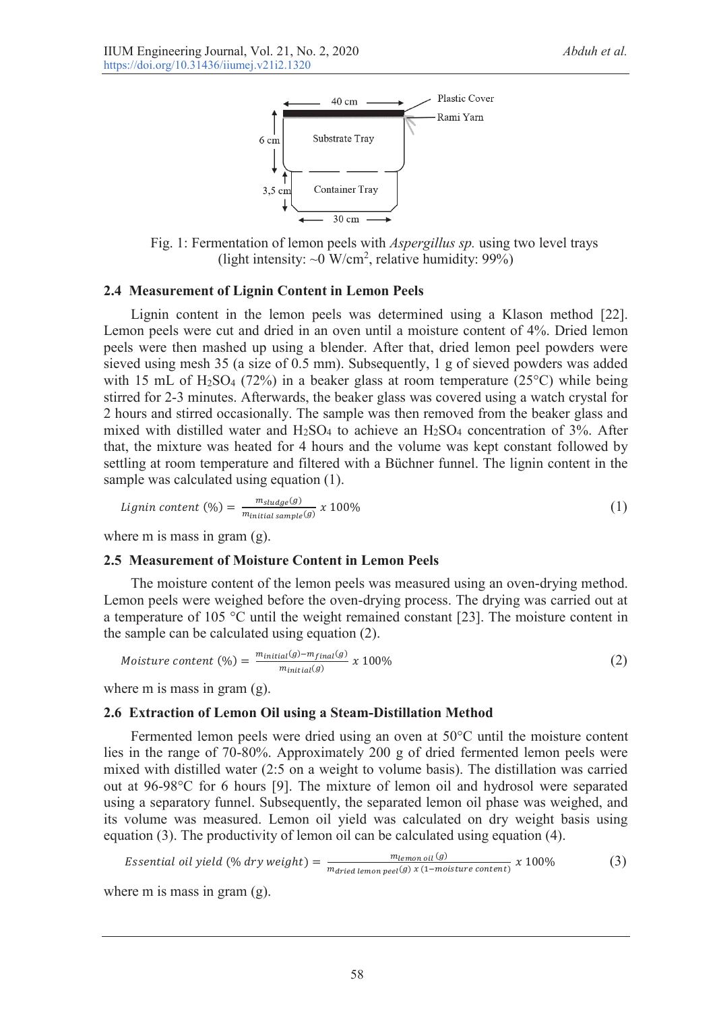

Fig. 1: Fermentation of lemon peels with *Aspergillus sp.* using two level trays (light intensity:  $\sim 0$  W/cm<sup>2</sup>, relative humidity: 99%)

#### **2.4 Measurement of Lignin Content in Lemon Peels**

Lignin content in the lemon peels was determined using a Klason method [22]. Lemon peels were cut and dried in an oven until a moisture content of 4%. Dried lemon peels were then mashed up using a blender. After that, dried lemon peel powders were sieved using mesh 35 (a size of 0.5 mm). Subsequently, 1 g of sieved powders was added with 15 mL of H<sub>2</sub>SO<sub>4</sub> (72%) in a beaker glass at room temperature (25<sup>o</sup>C) while being stirred for 2-3 minutes. Afterwards, the beaker glass was covered using a watch crystal for 2 hours and stirred occasionally. The sample was then removed from the beaker glass and mixed with distilled water and  $H_2SO_4$  to achieve an  $H_2SO_4$  concentration of 3%. After that, the mixture was heated for 4 hours and the volume was kept constant followed by settling at room temperature and filtered with a Büchner funnel. The lignin content in the sample was calculated using equation (1).

$$
Lignin content (\%) = \frac{m_{sludge}(g)}{m_{initial sample}(g)} \times 100\%
$$
\n(1)

where m is mass in gram (g).

#### **2.5 Measurement of Moisture Content in Lemon Peels**

The moisture content of the lemon peels was measured using an oven-drying method. Lemon peels were weighed before the oven-drying process. The drying was carried out at a temperature of 105 °C until the weight remained constant [23]. The moisture content in the sample can be calculated using equation (2).

$$
Moisture content (%) = \frac{m_{initial}(g) - m_{final}(g)}{m_{initial}(g)} \times 100\%
$$
\n(2)

where m is mass in gram (g).

#### **2.6 Extraction of Lemon Oil using a Steam-Distillation Method**

Fermented lemon peels were dried using an oven at 50°C until the moisture content lies in the range of 70-80%. Approximately 200 g of dried fermented lemon peels were mixed with distilled water (2:5 on a weight to volume basis). The distillation was carried out at 96-98°C for 6 hours [9]. The mixture of lemon oil and hydrosol were separated using a separatory funnel. Subsequently, the separated lemon oil phase was weighed, and its volume was measured. Lemon oil yield was calculated on dry weight basis using equation (3). The productivity of lemon oil can be calculated using equation (4).

Essential oil yield (%) dry weight) = 
$$
\frac{m_{lemon oil}(g)}{m_{dried~lemon~peel}(g) \times (1-moisture~content)} \times 100\%
$$
 (3)

where m is mass in gram (g).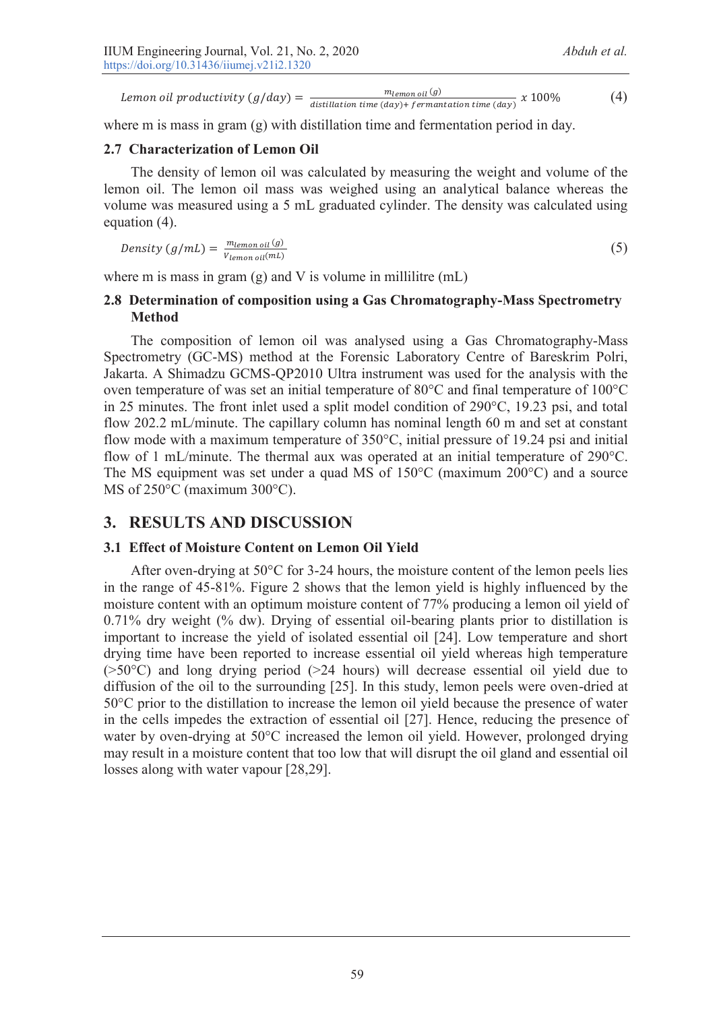m<sub>lemon oil</sub> (g) Lemon oil productivity  $(g/day) = \frac{m_{temp \text{of } (g)}}{\text{distribution time (day)} + \text{fermantation time (day)}} x 100\%$  (4)

where m is mass in gram (g) with distillation time and fermentation period in day.

### **2.7 Characterization of Lemon Oil**

The density of lemon oil was calculated by measuring the weight and volume of the lemon oil. The lemon oil mass was weighed using an analytical balance whereas the volume was measured using a 5 mL graduated cylinder. The density was calculated using equation (4).

$$
Density\left(g/mL\right) = \frac{m_{lemon\, oil}\left(g\right)}{V_{lemon\, oil}\left(mL\right)}\tag{5}
$$

where m is mass in gram  $(g)$  and V is volume in millilitre  $(mL)$ 

### **2.8 Determination of composition using a Gas Chromatography-Mass Spectrometry Method**

The composition of lemon oil was analysed using a Gas Chromatography-Mass Spectrometry (GC-MS) method at the Forensic Laboratory Centre of Bareskrim Polri, Jakarta. A Shimadzu GCMS-QP2010 Ultra instrument was used for the analysis with the oven temperature of was set an initial temperature of 80°C and final temperature of 100°C in 25 minutes. The front inlet used a split model condition of 290°C, 19.23 psi, and total flow 202.2 mL/minute. The capillary column has nominal length 60 m and set at constant flow mode with a maximum temperature of 350°C, initial pressure of 19.24 psi and initial flow of 1 mL/minute. The thermal aux was operated at an initial temperature of 290°C. The MS equipment was set under a quad MS of 150°C (maximum 200°C) and a source MS of 250°C (maximum 300°C).

# **3. RESULTS AND DISCUSSION**

### **3.1 Effect of Moisture Content on Lemon Oil Yield**

After oven-drying at 50°C for 3-24 hours, the moisture content of the lemon peels lies in the range of 45-81%. Figure 2 shows that the lemon yield is highly influenced by the moisture content with an optimum moisture content of 77% producing a lemon oil yield of 0.71% dry weight (% dw). Drying of essential oil-bearing plants prior to distillation is important to increase the yield of isolated essential oil [24]. Low temperature and short drying time have been reported to increase essential oil yield whereas high temperature (>50°C) and long drying period (>24 hours) will decrease essential oil yield due to diffusion of the oil to the surrounding [25]. In this study, lemon peels were oven-dried at 50°C prior to the distillation to increase the lemon oil yield because the presence of water in the cells impedes the extraction of essential oil [27]. Hence, reducing the presence of water by oven-drying at 50°C increased the lemon oil yield. However, prolonged drying may result in a moisture content that too low that will disrupt the oil gland and essential oil losses along with water vapour [28,29].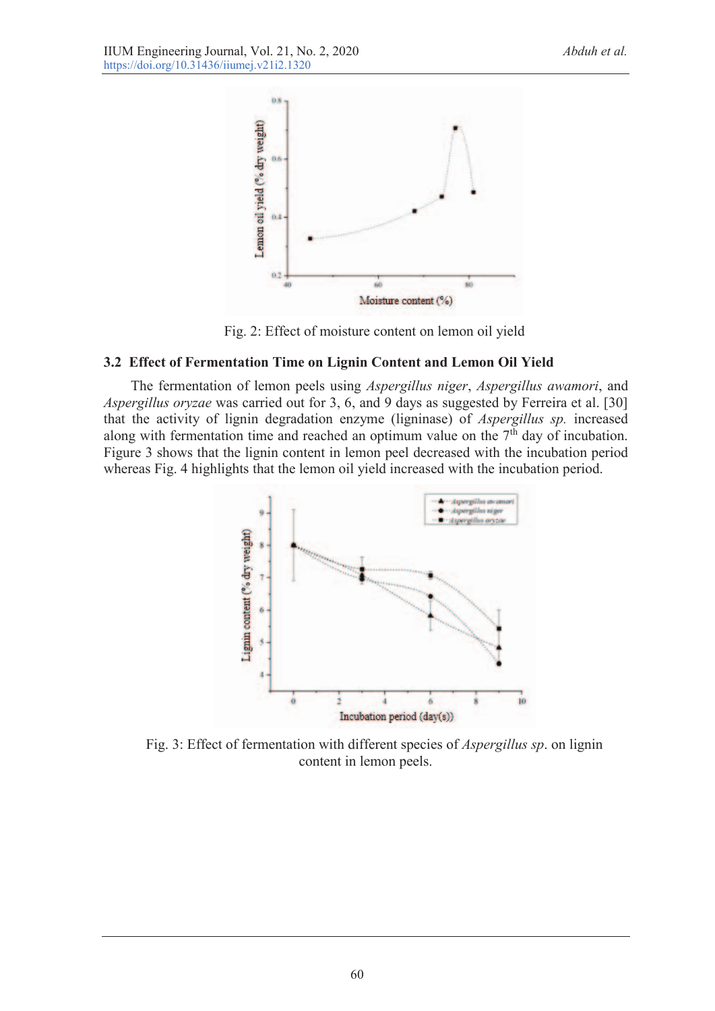

Fig. 2: Effect of moisture content on lemon oil yield

## **3.2 Effect of Fermentation Time on Lignin Content and Lemon Oil Yield**

The fermentation of lemon peels using *Aspergillus niger*, *Aspergillus awamori*, and *Aspergillus oryzae* was carried out for 3, 6, and 9 days as suggested by Ferreira et al. [30] that the activity of lignin degradation enzyme (ligninase) of *Aspergillus sp.* increased along with fermentation time and reached an optimum value on the  $7<sup>th</sup>$  day of incubation. Figure 3 shows that the lignin content in lemon peel decreased with the incubation period whereas Fig. 4 highlights that the lemon oil yield increased with the incubation period.



Fig. 3: Effect of fermentation with different species of *Aspergillus sp*. on lignin content in lemon peels.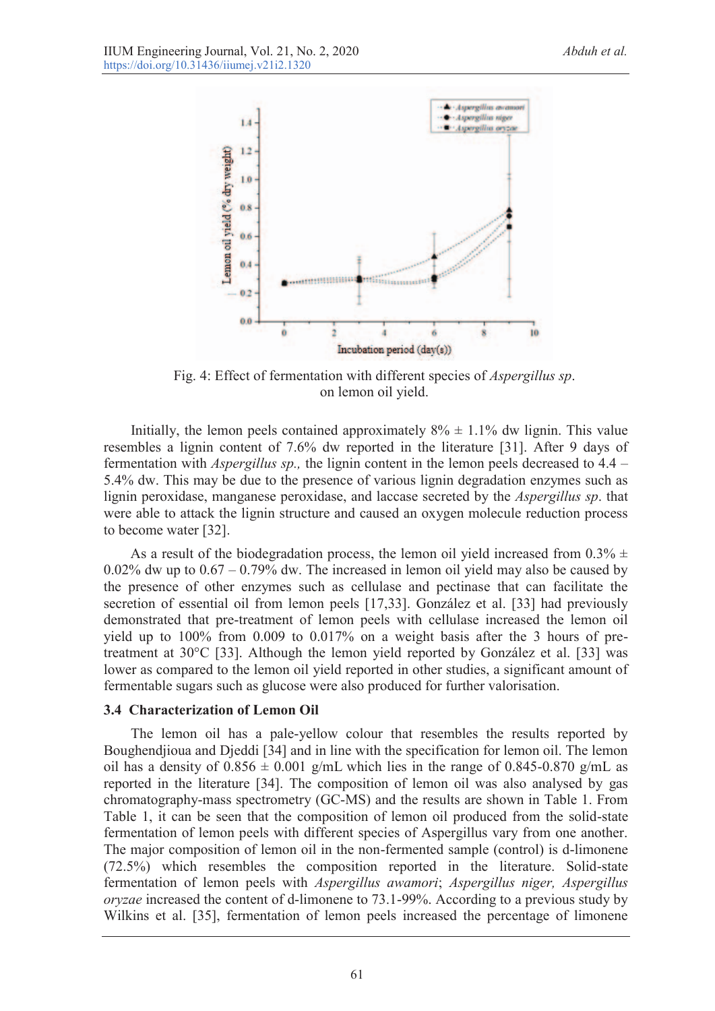

Fig. 4: Effect of fermentation with different species of *Aspergillus sp*. on lemon oil yield.

Initially, the lemon peels contained approximately  $8\% \pm 1.1\%$  dw lignin. This value resembles a lignin content of 7.6% dw reported in the literature [31]. After 9 days of fermentation with *Aspergillus sp.,* the lignin content in the lemon peels decreased to 4.4 – 5.4% dw. This may be due to the presence of various lignin degradation enzymes such as lignin peroxidase, manganese peroxidase, and laccase secreted by the *Aspergillus sp*. that were able to attack the lignin structure and caused an oxygen molecule reduction process to become water [32].

As a result of the biodegradation process, the lemon oil yield increased from  $0.3\% \pm$  $0.02\%$  dw up to  $0.67 - 0.79\%$  dw. The increased in lemon oil yield may also be caused by the presence of other enzymes such as cellulase and pectinase that can facilitate the secretion of essential oil from lemon peels [17,33]. González et al. [33] had previously demonstrated that pre-treatment of lemon peels with cellulase increased the lemon oil yield up to 100% from 0.009 to 0.017% on a weight basis after the 3 hours of pretreatment at 30°C [33]. Although the lemon yield reported by González et al. [33] was lower as compared to the lemon oil yield reported in other studies, a significant amount of fermentable sugars such as glucose were also produced for further valorisation.

#### **3.4 Characterization of Lemon Oil**

The lemon oil has a pale-yellow colour that resembles the results reported by Boughendjioua and Djeddi [34] and in line with the specification for lemon oil. The lemon oil has a density of  $0.856 \pm 0.001$  g/mL which lies in the range of  $0.845$ -0.870 g/mL as reported in the literature [34]. The composition of lemon oil was also analysed by gas chromatography-mass spectrometry (GC-MS) and the results are shown in Table 1. From Table 1, it can be seen that the composition of lemon oil produced from the solid-state fermentation of lemon peels with different species of Aspergillus vary from one another. The major composition of lemon oil in the non-fermented sample (control) is d-limonene (72.5%) which resembles the composition reported in the literature. Solid-state fermentation of lemon peels with *Aspergillus awamori*; *Aspergillus niger, Aspergillus oryzae* increased the content of d-limonene to 73.1-99%. According to a previous study by Wilkins et al. [35], fermentation of lemon peels increased the percentage of limonene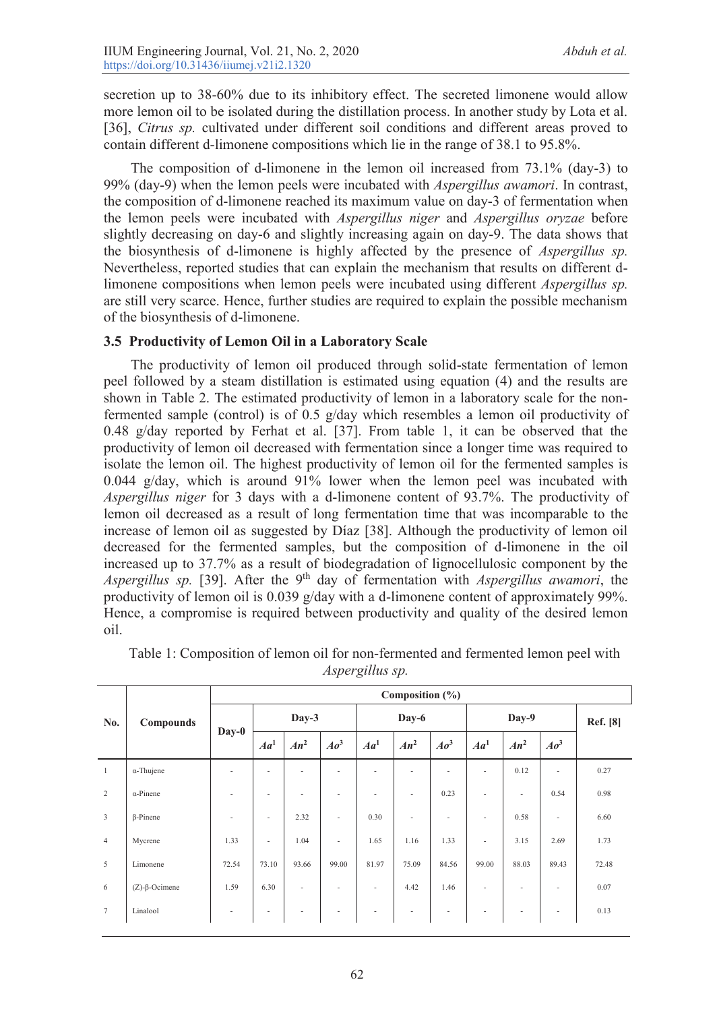secretion up to 38-60% due to its inhibitory effect. The secreted limonene would allow more lemon oil to be isolated during the distillation process. In another study by Lota et al. [36], *Citrus sp.* cultivated under different soil conditions and different areas proved to contain different d-limonene compositions which lie in the range of 38.1 to 95.8%.

The composition of d-limonene in the lemon oil increased from 73.1% (day-3) to 99% (day-9) when the lemon peels were incubated with *Aspergillus awamori*. In contrast, the composition of d-limonene reached its maximum value on day-3 of fermentation when the lemon peels were incubated with *Aspergillus niger* and *Aspergillus oryzae* before slightly decreasing on day-6 and slightly increasing again on day-9. The data shows that the biosynthesis of d-limonene is highly affected by the presence of *Aspergillus sp.* Nevertheless, reported studies that can explain the mechanism that results on different dlimonene compositions when lemon peels were incubated using different *Aspergillus sp.* are still very scarce. Hence, further studies are required to explain the possible mechanism of the biosynthesis of d-limonene.

## **3.5 Productivity of Lemon Oil in a Laboratory Scale**

The productivity of lemon oil produced through solid-state fermentation of lemon peel followed by a steam distillation is estimated using equation (4) and the results are shown in Table 2. The estimated productivity of lemon in a laboratory scale for the nonfermented sample (control) is of 0.5 g/day which resembles a lemon oil productivity of 0.48 g/day reported by Ferhat et al. [37]. From table 1, it can be observed that the productivity of lemon oil decreased with fermentation since a longer time was required to isolate the lemon oil. The highest productivity of lemon oil for the fermented samples is 0.044 g/day, which is around 91% lower when the lemon peel was incubated with *Aspergillus niger* for 3 days with a d-limonene content of 93.7%. The productivity of lemon oil decreased as a result of long fermentation time that was incomparable to the increase of lemon oil as suggested by Díaz [38]. Although the productivity of lemon oil decreased for the fermented samples, but the composition of d-limonene in the oil increased up to 37.7% as a result of biodegradation of lignocellulosic component by the *Aspergillus sp.* [39]. After the 9<sup>th</sup> day of fermentation with *Aspergillus awamori*, the productivity of lemon oil is 0.039 g/day with a d-limonene content of approximately 99%. Hence, a compromise is required between productivity and quality of the desired lemon oil.

| No.            | Compounds                | Composition $(\% )$ |                 |                          |                 |                 |        |                 |                          |          |                 |       |  |
|----------------|--------------------------|---------------------|-----------------|--------------------------|-----------------|-----------------|--------|-----------------|--------------------------|----------|-----------------|-------|--|
|                |                          | Day-0               |                 | Day-3                    |                 | Day-6           |        |                 |                          | Ref. [8] |                 |       |  |
|                |                          |                     | Aa <sup>1</sup> | $An^2$                   | Ao <sup>3</sup> | Aa <sup>1</sup> | $An^2$ | Ao <sup>3</sup> | Aa <sup>1</sup>          | $An^2$   | Ao <sup>3</sup> |       |  |
| $\mathbf{1}$   | $\alpha$ -Thujene        | ٠                   | ٠               | ٠                        | ٠               | ٠               |        | ٠               | ٠                        | 0.12     | ٠               | 0.27  |  |
| 2              | $\alpha$ -Pinene         | ٠                   | ٠               | ٠                        | ٠               | $\sim$          | ٠      | 0.23            | $\sim$                   | ٠        | 0.54            | 0.98  |  |
| $\mathfrak{Z}$ | $\beta$ -Pinene          | ٠                   | $\sim$          | 2.32                     | $\sim$          | 0.30            | ٠      | ٠               | $\overline{\phantom{a}}$ | 0.58     | $\sim$          | 6.60  |  |
| $\overline{4}$ | Mycrene                  | 1.33                | $\sim$          | 1.04                     | $\sim$          | 1.65            | 1.16   | 1.33            | $\sim$                   | 3.15     | 2.69            | 1.73  |  |
| 5              | Limonene                 | 72.54               | 73.10           | 93.66                    | 99.00           | 81.97           | 75.09  | 84.56           | 99.00                    | 88.03    | 89.43           | 72.48 |  |
| 6              | $(Z)$ - $\beta$ -Ocimene | 1.59                | 6.30            | $\overline{\phantom{a}}$ | $\sim$          | $\sim$          | 4.42   | 1.46            | $\overline{\phantom{a}}$ | ٠        | ٠               | 0.07  |  |
| $\tau$         | Linalool                 | $\sim$              | ٠               | ٠                        | $\sim$          | $\sim$          | ۰      |                 |                          |          | ٠               | 0.13  |  |
|                |                          |                     |                 |                          |                 |                 |        |                 |                          |          |                 |       |  |

Table 1: Composition of lemon oil for non-fermented and fermented lemon peel with *Aspergillus sp.*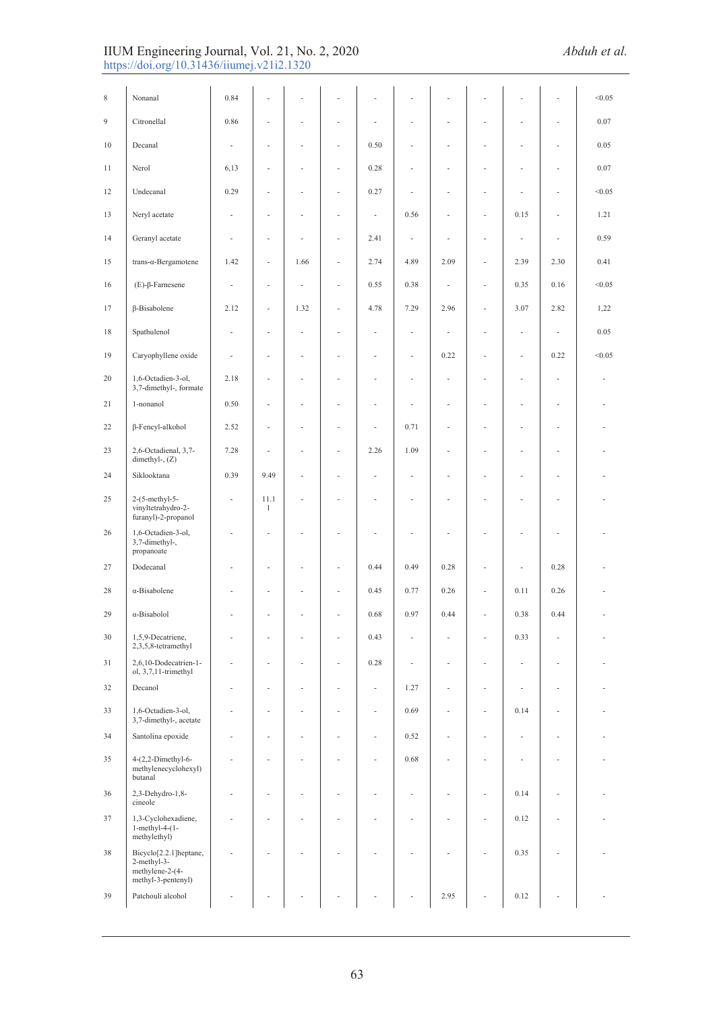#### IIUM Engineering Journal, Vol. 21, No. 2, 2020 *Abduh et al.*  https://doi.org/10.31436/iiumej.v21i2.1320

| 8  | Nonanal                                                                        | 0.84 |                          |      |                          |                          |                          |      |                          |      |                          | < 0.05 |
|----|--------------------------------------------------------------------------------|------|--------------------------|------|--------------------------|--------------------------|--------------------------|------|--------------------------|------|--------------------------|--------|
| 9  | Citronellal                                                                    | 0.86 | ÷,                       | ä,   | ä,                       | ä,                       | ÷,                       | ÷,   | L,                       | ä,   | $\sim$                   | 0.07   |
| 10 | Decanal                                                                        | ä,   | ×,                       | ٠    | ٠                        | 0.50                     | $\overline{\phantom{a}}$ | ٠    | ä,                       | ä,   | ٠                        | 0.05   |
| 11 | Nerol                                                                          | 6,13 | ä,                       | ä,   | ÷,                       | 0.28                     | ä,                       | ä,   | L,                       | ä,   | $\sim$                   | 0.07   |
| 12 | Undecanal                                                                      | 0.29 | ä,                       | ٠    | ÷,                       | 0.27                     | $\overline{\phantom{a}}$ | ÷,   | ä,                       | ä,   | ٠                        | < 0.05 |
| 13 | Neryl acetate                                                                  | ä,   | $\overline{\phantom{a}}$ | ä,   | $\overline{\phantom{a}}$ | $\overline{\phantom{a}}$ | 0.56                     | ÷,   | ÷,                       | 0.15 | $\overline{\phantom{a}}$ | 1.21   |
| 14 | Geranyl acetate                                                                | ä,   | ä,                       | ä,   | ٠                        | 2.41                     | $\overline{\phantom{a}}$ | ٠    | ÷,                       | ٠    | ٠                        | 0.59   |
| 15 | $trans-a-Bergamotene$                                                          | 1.42 | ÷,                       | 1.66 | ä,                       | 2.74                     | 4.89                     | 2.09 | ÷,                       | 2.39 | 2.30                     | 0.41   |
| 16 | $(E)$ - $\beta$ -Farnesene                                                     | ä,   | $\overline{\phantom{a}}$ | ä,   | ÷                        | 0.55                     | 0.38                     | ÷,   | ÷,                       | 0.35 | 0.16                     | < 0.05 |
| 17 | β-Bisabolene                                                                   | 2.12 | $\Box$                   | 1.32 | $\sim$                   | 4.78                     | 7.29                     | 2.96 | ÷,                       | 3.07 | 2.82                     | 1,22   |
| 18 | Spathulenol                                                                    | ä,   | ÷,                       | ÷    | ÷,                       | ÷,                       | $\overline{\phantom{a}}$ | ×    | ÷,                       | ÷    | $\overline{\phantom{a}}$ | 0.05   |
| 19 | Caryophyllene oxide                                                            | ä,   | ä,                       | ä,   |                          | ä,                       | ÷,                       | 0.22 | í,                       | ä,   | 0.22                     | < 0.05 |
| 20 | 1,6-Octadien-3-ol,<br>3,7-dimethyl-, formate                                   | 2.18 | ÷,                       | ×,   | ÷                        | ٠                        | ÷,                       | ä,   | Ĭ.                       | ä,   | ÷,                       |        |
| 21 | 1-nonanol                                                                      | 0.50 | ÷,                       | ×,   | ä,                       | ÷,                       | ÷,                       | ä,   | Ĭ.                       | ä,   | ÷,                       |        |
| 22 | β-Fencyl-alkohol                                                               | 2.52 | ÷,                       | ä,   |                          | ä,                       | 0.71                     | ä,   | í.                       | ä,   | ä,                       |        |
| 23 | 2,6-Octadienal, 3,7-<br>dimethyl-, $(Z)$                                       | 7.28 | ä,                       | ×,   | ×,                       | 2.26                     | 1.09                     | ä,   | í.                       | Ĭ.   | $\overline{\phantom{a}}$ |        |
| 24 | Siklooktana                                                                    | 0.39 | 9.49                     | ÷    | ×,                       | ÷,                       | ÷,                       | ÷,   | Ĭ.                       | Ĭ.   | ÷                        |        |
| 25 | $2-(5-methyl-5-$<br>vinyltetrahydro-2-<br>furanyl)-2-propanol                  |      | 11.1<br>$\mathbf{1}$     | Ĭ.   |                          |                          | ä,                       |      | í.                       |      |                          |        |
| 26 | 1,6-Octadien-3-ol,<br>3,7-dimethyl-,<br>propanoate                             |      | ä,                       |      |                          |                          |                          |      | Ĭ.                       |      |                          |        |
| 27 | Dodecanal                                                                      |      | ÷,                       |      |                          | 0.44                     | 0.49                     | 0.28 |                          | ä,   | 0.28                     |        |
| 28 | $\alpha$ -Bisabolene                                                           |      | i,                       |      |                          | 0.45                     | 0.77                     | 0.26 | $\overline{\phantom{a}}$ | 0.11 | 0.26                     |        |
| 29 | α-Bisabolol                                                                    |      |                          |      |                          | 0.68                     | 0.97                     | 0.44 | L,                       | 0.38 | 0.44                     |        |
| 30 | 1,5,9-Decatriene,<br>2,3,5,8-tetramethyl                                       |      |                          |      |                          | 0.43                     |                          |      |                          | 0.33 |                          |        |
| 31 | 2,6,10-Dodecatrien-1-<br>ol, 3,7,11-trimethyl                                  |      | i,                       |      |                          | 0.28                     | ×,                       |      | Ĭ.                       | ×,   |                          |        |
| 32 | Decanol                                                                        |      | ÷,                       |      |                          | ÷,                       | 1.27                     |      |                          | ä,   |                          |        |
| 33 | 1,6-Octadien-3-ol,<br>3,7-dimethyl-, acetate                                   |      | i.                       |      |                          | ÷,                       | 0.69                     |      | Ĭ.                       | 0.14 |                          |        |
| 34 | Santolina epoxide                                                              |      | L,                       |      |                          |                          | 0.52                     |      | Ĭ.                       |      |                          |        |
| 35 | $4-(2,2-Dimethyl-6-$<br>methylenecyclohexyl)<br>butanal                        |      | ä,                       |      |                          |                          | 0.68                     |      | i,                       | ÷    |                          |        |
| 36 | 2,3-Dehydro-1,8-<br>cineole                                                    |      | ٠                        |      |                          |                          |                          |      | ä,                       | 0.14 |                          |        |
| 37 | 1,3-Cyclohexadiene,<br>$1$ -methyl-4- $(1-$<br>methylethyl)                    |      | ÷.                       | ×    |                          |                          | ×.                       | ٠    | L,                       | 0.12 | ٠                        |        |
| 38 | Bicyclo[2.2.1]heptane,<br>2-methyl-3-<br>methylene-2-(4-<br>methyl-3-pentenyl) |      |                          |      |                          |                          |                          |      | i,                       | 0.35 |                          |        |
| 39 | Patchouli alcohol                                                              |      |                          |      |                          |                          |                          | 2.95 |                          | 0.12 |                          |        |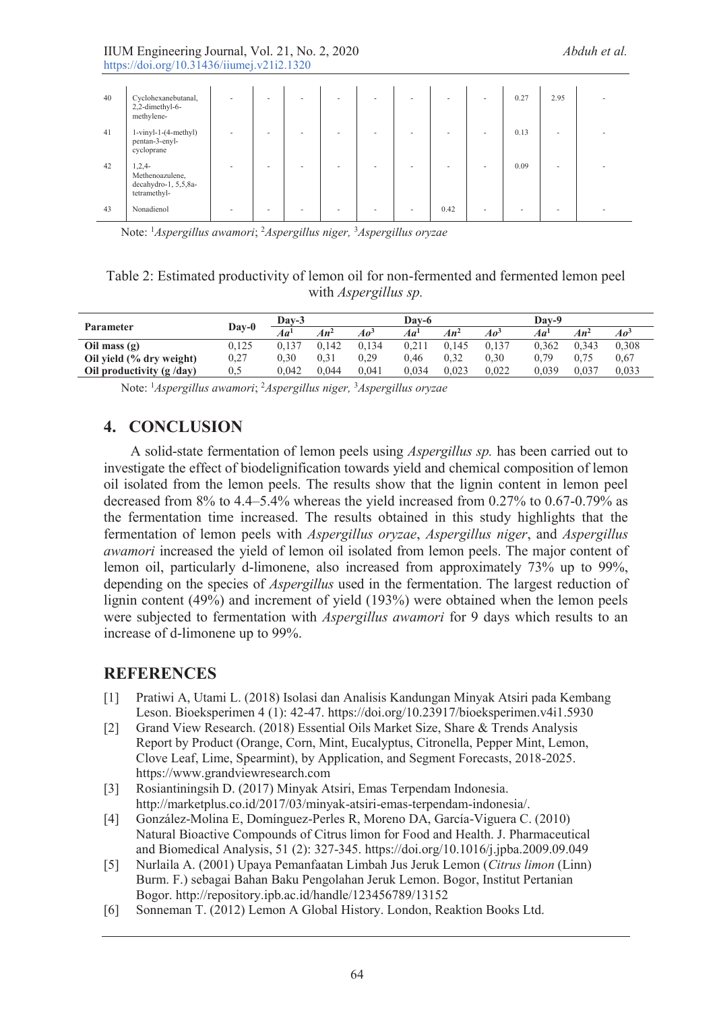| 40 | Cyclohexanebutanal,<br>2,2-dimethyl-6-<br>methylene-                | ۰                        |  | $\sim$ | ٠ |      | $\overline{\phantom{a}}$ | 0.27 | 2.95 |  |
|----|---------------------------------------------------------------------|--------------------------|--|--------|---|------|--------------------------|------|------|--|
| 41 | $1$ -vinyl-1- $(4$ -methyl $)$<br>pentan-3-enyl-<br>cycloprane      |                          |  |        | - |      |                          | 0.13 |      |  |
| 42 | $1,2,4-$<br>Methenoazulene,<br>decahydro-1, 5,5,8a-<br>tetramethyl- | $\overline{\phantom{a}}$ |  | ۰      |   |      |                          | 0.09 |      |  |
| 43 | Nonadienol                                                          |                          |  |        | ٠ | 0.42 | $\sim$                   |      |      |  |

Note: 1 *Aspergillus awamori*; 2 *Aspergillus niger,* <sup>3</sup> *Aspergillus oryzae* 

## Table 2: Estimated productivity of lemon oil for non-fermented and fermented lemon peel with *Aspergillus sp.*

|                           | Day-0     | $Dav-3$         |        |                 | Dav-6           |        | Dav-9           |                 |        |                 |
|---------------------------|-----------|-----------------|--------|-----------------|-----------------|--------|-----------------|-----------------|--------|-----------------|
| <b>Parameter</b>          |           | Aa <sup>1</sup> | $An^2$ | Ao <sup>3</sup> | Aa <sup>1</sup> | $An^2$ | Ao <sup>3</sup> | Aa <sup>l</sup> | $An^2$ | Ao <sup>3</sup> |
| Oil mass $(g)$            | 0.125     | 0.137           | 0.142  | 0.134           | 0.211           | 0.145  | 0.137           | 0.362           | 0.343  | 0,308           |
| Oil yield (% dry weight)  | $_{0,27}$ | 0.30            | 0.31   | 0.29            | 0.46            | 0.32   | 0.30            | 0.79            | 0.75   | 0.67            |
| Oil productivity (g /day) | 0,5       | 0.042           | 0.044  | 0.041           | 0.034           | 0.023  | 0.022           | 0.039           | 0.037  | 0,033           |

Note: 1 *Aspergillus awamori*; 2 *Aspergillus niger,* <sup>3</sup> *Aspergillus oryzae* 

# **4. CONCLUSION**

A solid-state fermentation of lemon peels using *Aspergillus sp.* has been carried out to investigate the effect of biodelignification towards yield and chemical composition of lemon oil isolated from the lemon peels. The results show that the lignin content in lemon peel decreased from 8% to 4.4–5.4% whereas the yield increased from 0.27% to 0.67-0.79% as the fermentation time increased. The results obtained in this study highlights that the fermentation of lemon peels with *Aspergillus oryzae*, *Aspergillus niger*, and *Aspergillus awamori* increased the yield of lemon oil isolated from lemon peels. The major content of lemon oil, particularly d-limonene, also increased from approximately 73% up to 99%, depending on the species of *Aspergillus* used in the fermentation. The largest reduction of lignin content (49%) and increment of yield (193%) were obtained when the lemon peels were subjected to fermentation with *Aspergillus awamori* for 9 days which results to an increase of d-limonene up to 99%.

# **REFERENCES**

- [1] Pratiwi A, Utami L. (2018) Isolasi dan Analisis Kandungan Minyak Atsiri pada Kembang Leson. Bioeksperimen 4 (1): 42-47. https://doi.org/10.23917/bioeksperimen.v4i1.5930
- [2] Grand View Research. (2018) Essential Oils Market Size, Share & Trends Analysis Report by Product (Orange, Corn, Mint, Eucalyptus, Citronella, Pepper Mint, Lemon, Clove Leaf, Lime, Spearmint), by Application, and Segment Forecasts, 2018-2025. https://www.grandviewresearch.com
- [3] Rosiantiningsih D. (2017) Minyak Atsiri, Emas Terpendam Indonesia. http://marketplus.co.id/2017/03/minyak-atsiri-emas-terpendam-indonesia/.
- [4] González-Molina E, Domínguez-Perles R, Moreno DA, García-Viguera C. (2010) Natural Bioactive Compounds of Citrus limon for Food and Health. J. Pharmaceutical and Biomedical Analysis, 51 (2): 327-345. https://doi.org/10.1016/j.jpba.2009.09.049
- [5] Nurlaila A. (2001) Upaya Pemanfaatan Limbah Jus Jeruk Lemon (*Citrus limon* (Linn) Burm. F.) sebagai Bahan Baku Pengolahan Jeruk Lemon. Bogor, Institut Pertanian Bogor. http://repository.ipb.ac.id/handle/123456789/13152
- [6] Sonneman T. (2012) Lemon A Global History. London, Reaktion Books Ltd.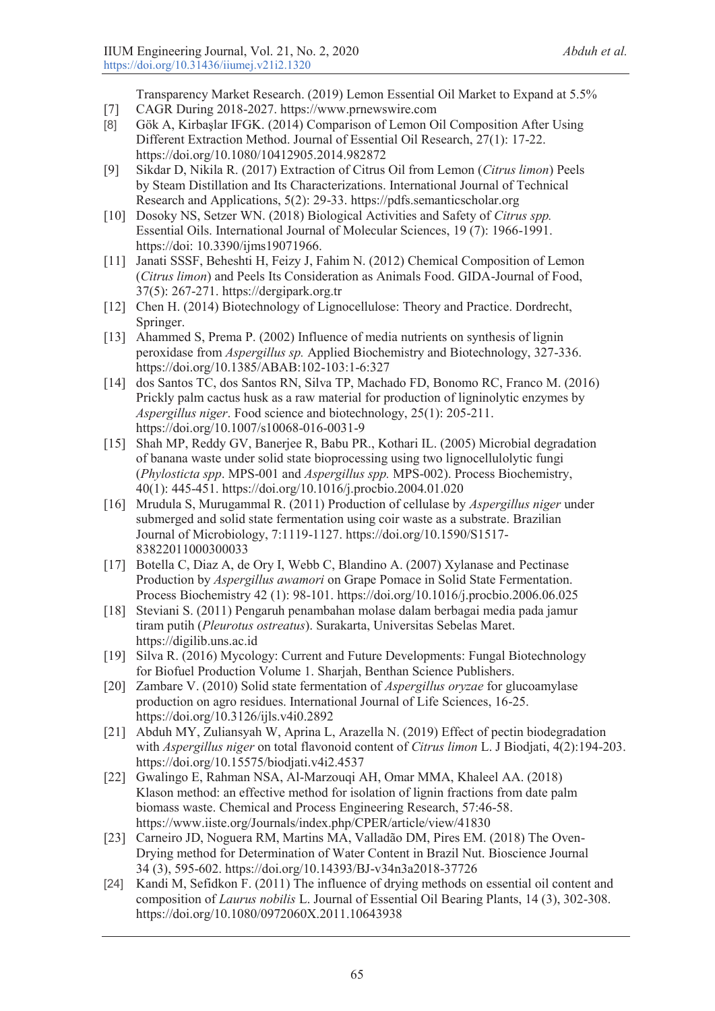Transparency Market Research. (2019) Lemon Essential Oil Market to Expand at 5.5%

- [7] CAGR During 2018-2027. https://www.prnewswire.com
- [8] Gök A, Kirbaşlar IFGK. (2014) Comparison of Lemon Oil Composition After Using Different Extraction Method. Journal of Essential Oil Research, 27(1): 17-22. https://doi.org/10.1080/10412905.2014.982872
- [9] Sikdar D, Nikila R. (2017) Extraction of Citrus Oil from Lemon (*Citrus limon*) Peels by Steam Distillation and Its Characterizations. International Journal of Technical Research and Applications, 5(2): 29-33. https://pdfs.semanticscholar.org
- [10] Dosoky NS, Setzer WN. (2018) Biological Activities and Safety of *Citrus spp.* Essential Oils. International Journal of Molecular Sciences, 19 (7): 1966-1991. https://doi: 10.3390/ijms19071966.
- [11] Janati SSSF, Beheshti H, Feizy J, Fahim N. (2012) Chemical Composition of Lemon (*Citrus limon*) and Peels Its Consideration as Animals Food. GIDA-Journal of Food, 37(5): 267-271. https://dergipark.org.tr
- [12] Chen H. (2014) Biotechnology of Lignocellulose: Theory and Practice. Dordrecht, Springer.
- [13] Ahammed S, Prema P. (2002) Influence of media nutrients on synthesis of lignin peroxidase from *Aspergillus sp.* Applied Biochemistry and Biotechnology, 327-336. https://doi.org/10.1385/ABAB:102-103:1-6:327
- [14] dos Santos TC, dos Santos RN, Silva TP, Machado FD, Bonomo RC, Franco M. (2016) Prickly palm cactus husk as a raw material for production of ligninolytic enzymes by *Aspergillus niger*. Food science and biotechnology, 25(1): 205-211. https://doi.org/10.1007/s10068-016-0031-9
- [15] Shah MP, Reddy GV, Banerjee R, Babu PR., Kothari IL. (2005) Microbial degradation of banana waste under solid state bioprocessing using two lignocellulolytic fungi (*Phylosticta spp*. MPS-001 and *Aspergillus spp.* MPS-002). Process Biochemistry, 40(1): 445-451. https://doi.org/10.1016/j.procbio.2004.01.020
- [16] Mrudula S, Murugammal R. (2011) Production of cellulase by *Aspergillus niger* under submerged and solid state fermentation using coir waste as a substrate. Brazilian Journal of Microbiology, 7:1119-1127. https://doi.org/10.1590/S1517- 83822011000300033
- [17] Botella C, Diaz A, de Ory I, Webb C, Blandino A. (2007) Xylanase and Pectinase Production by *Aspergillus awamori* on Grape Pomace in Solid State Fermentation. Process Biochemistry 42 (1): 98-101. https://doi.org/10.1016/j.procbio.2006.06.025
- [18] Steviani S. (2011) Pengaruh penambahan molase dalam berbagai media pada jamur tiram putih (*Pleurotus ostreatus*). Surakarta, Universitas Sebelas Maret. https://digilib.uns.ac.id
- [19] Silva R. (2016) Mycology: Current and Future Developments: Fungal Biotechnology for Biofuel Production Volume 1. Sharjah, Benthan Science Publishers.
- [20] Zambare V. (2010) Solid state fermentation of *Aspergillus oryzae* for glucoamylase production on agro residues. International Journal of Life Sciences, 16-25. https://doi.org/10.3126/ijls.v4i0.2892
- [21] Abduh MY, Zuliansyah W, Aprina L, Arazella N. (2019) Effect of pectin biodegradation with *Aspergillus niger* on total flavonoid content of *Citrus limon* L. J Biodjati, 4(2):194-203. https://doi.org/10.15575/biodjati.v4i2.4537
- [22] Gwalingo E, Rahman NSA, Al-Marzouqi AH, Omar MMA, Khaleel AA. (2018) Klason method: an effective method for isolation of lignin fractions from date palm biomass waste. Chemical and Process Engineering Research, 57:46-58. https://www.iiste.org/Journals/index.php/CPER/article/view/41830
- [23] Carneiro JD, Noguera RM, Martins MA, Valladão DM, Pires EM. (2018) The Oven-Drying method for Determination of Water Content in Brazil Nut. Bioscience Journal 34 (3), 595-602. https://doi.org/10.14393/BJ-v34n3a2018-37726
- [24] Kandi M, Sefidkon F. (2011) The influence of drying methods on essential oil content and composition of *Laurus nobilis* L. Journal of Essential Oil Bearing Plants, 14 (3), 302-308. https://doi.org/10.1080/0972060X.2011.10643938